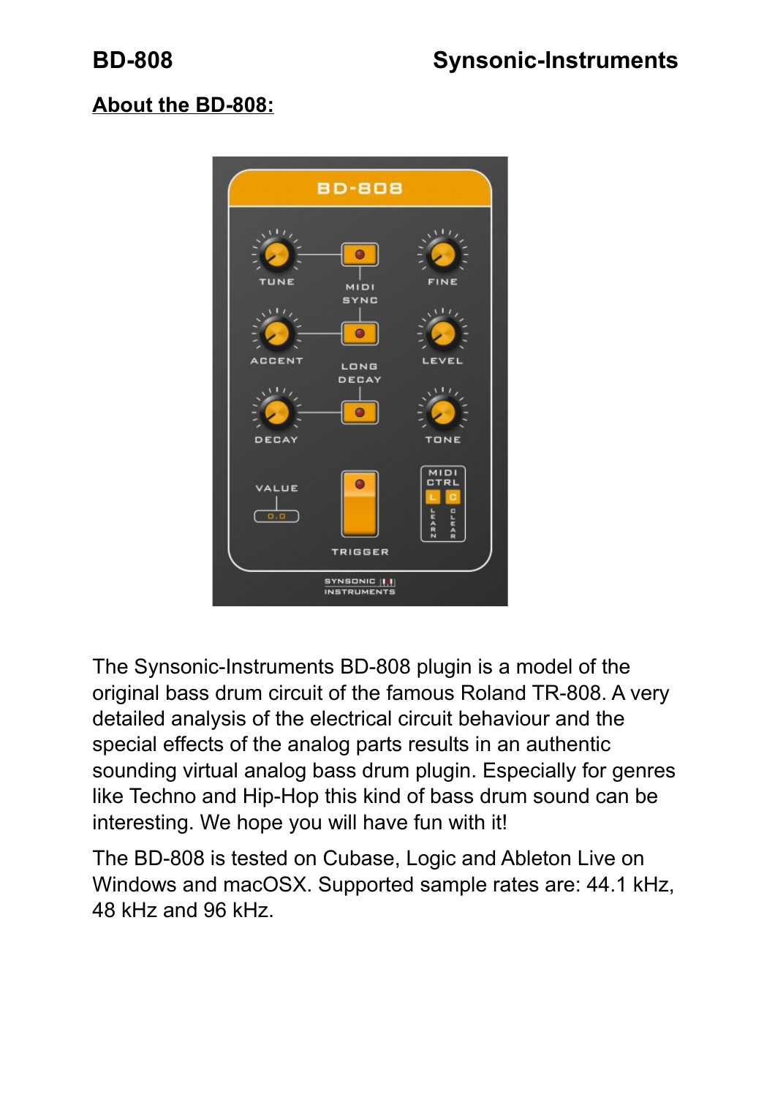# **About the BD-808:**



The Synsonic-Instruments BD-808 plugin is a model of the original bass drum circuit of the famous Roland TR-808. A very detailed analysis of the electrical circuit behaviour and the special effects of the analog parts results in an authentic sounding virtual analog bass drum plugin. Especially for genres like Techno and Hip-Hop this kind of bass drum sound can be interesting. We hope you will have fun with it!

The BD-808 is tested on Cubase, Logic and Ableton Live on Windows and macOSX. Supported sample rates are: 44.1 kHz, 48 kHz and 96 kHz.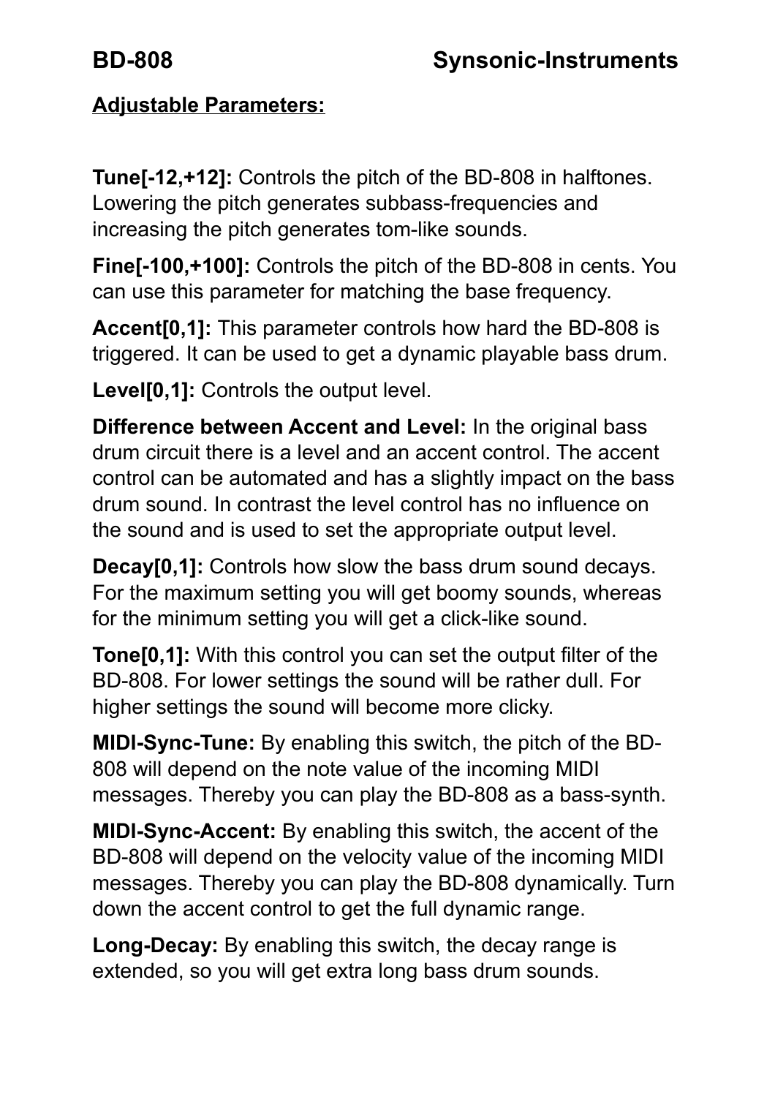# **Adjustable Parameters:**

**Tune[-12,+12]:** Controls the pitch of the BD-808 in halftones. Lowering the pitch generates subbass-frequencies and increasing the pitch generates tom-like sounds.

**Fine[-100,+100]:** Controls the pitch of the BD-808 in cents. You can use this parameter for matching the base frequency.

**Accent[0,1]:** This parameter controls how hard the BD-808 is triggered. It can be used to get a dynamic playable bass drum.

**Level[0,1]:** Controls the output level.

**Difference between Accent and Level:** In the original bass drum circuit there is a level and an accent control. The accent control can be automated and has a slightly impact on the bass drum sound. In contrast the level control has no influence on the sound and is used to set the appropriate output level.

**Decay[0.1]:** Controls how slow the bass drum sound decays. For the maximum setting you will get boomy sounds, whereas for the minimum setting you will get a click-like sound.

**Tone[0,1]:** With this control you can set the output filter of the BD-808. For lower settings the sound will be rather dull. For higher settings the sound will become more clicky.

**MIDI-Sync-Tune:** By enabling this switch, the pitch of the BD-808 will depend on the note value of the incoming MIDI messages. Thereby you can play the BD-808 as a bass-synth.

**MIDI-Sync-Accent:** By enabling this switch, the accent of the BD-808 will depend on the velocity value of the incoming MIDI messages. Thereby you can play the BD-808 dynamically. Turn down the accent control to get the full dynamic range.

**Long-Decay:** By enabling this switch, the decay range is extended, so you will get extra long bass drum sounds.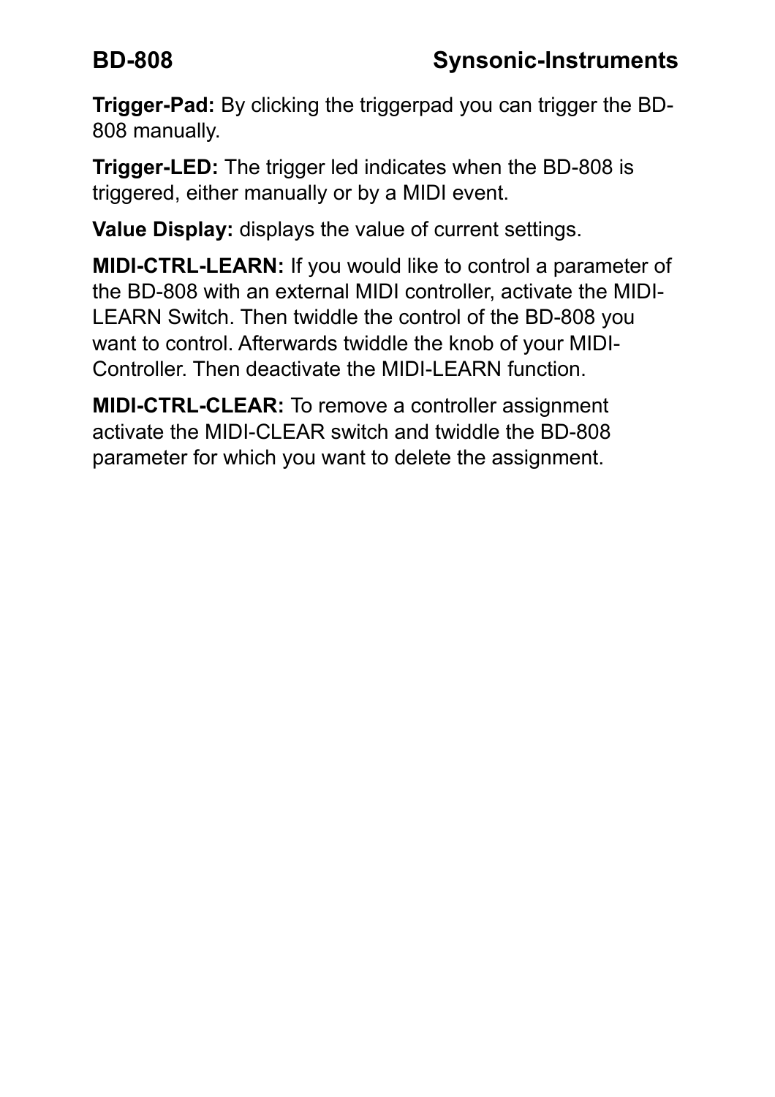**Trigger-Pad:** By clicking the triggerpad you can trigger the BD-808 manually.

**Trigger-LED:** The trigger led indicates when the BD-808 is triggered, either manually or by a MIDI event.

**Value Display:** displays the value of current settings.

**MIDI-CTRL-LEARN:** If you would like to control a parameter of the BD-808 with an external MIDI controller, activate the MIDI-LEARN Switch. Then twiddle the control of the BD-808 you want to control. Afterwards twiddle the knob of your MIDI-Controller. Then deactivate the MIDI-LEARN function.

**MIDI-CTRL-CLEAR:** To remove a controller assignment activate the MIDI-CLEAR switch and twiddle the BD-808 parameter for which you want to delete the assignment.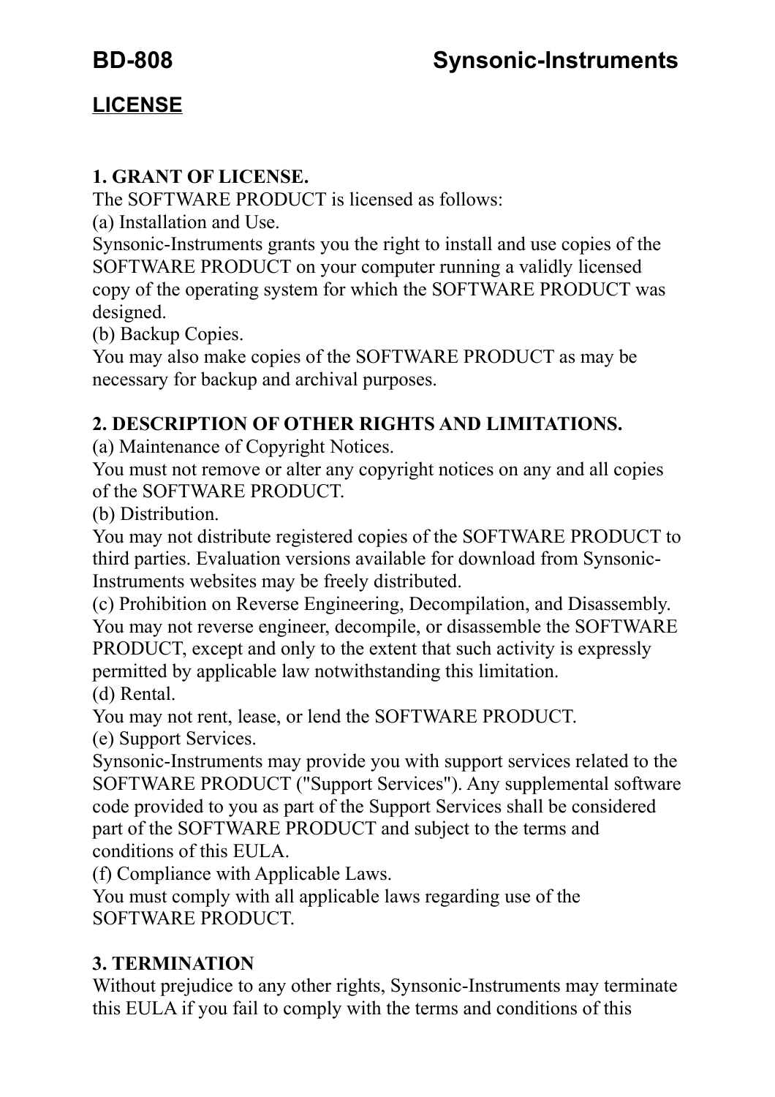## **LICENSE**

#### **1. GRANT OF LICENSE.**

The SOFTWARE PRODUCT is licensed as follows:

(a) Installation and Use.

Synsonic-Instruments grants you the right to install and use copies of the SOFTWARE PRODUCT on your computer running a validly licensed copy of the operating system for which the SOFTWARE PRODUCT was designed.

(b) Backup Copies.

You may also make copies of the SOFTWARE PRODUCT as may be necessary for backup and archival purposes.

#### **2. DESCRIPTION OF OTHER RIGHTS AND LIMITATIONS.**

(a) Maintenance of Copyright Notices.

You must not remove or alter any copyright notices on any and all copies of the SOFTWARE PRODUCT.

(b) Distribution.

You may not distribute registered copies of the SOFTWARE PRODUCT to third parties. Evaluation versions available for download from Synsonic-Instruments websites may be freely distributed.

(c) Prohibition on Reverse Engineering, Decompilation, and Disassembly. You may not reverse engineer, decompile, or disassemble the SOFTWARE PRODUCT, except and only to the extent that such activity is expressly permitted by applicable law notwithstanding this limitation. (d) Rental.

You may not rent, lease, or lend the SOFTWARE PRODUCT.

(e) Support Services.

Synsonic-Instruments may provide you with support services related to the SOFTWARE PRODUCT ("Support Services"). Any supplemental software code provided to you as part of the Support Services shall be considered part of the SOFTWARE PRODUCT and subject to the terms and conditions of this EULA.

(f) Compliance with Applicable Laws.

You must comply with all applicable laws regarding use of the SOFTWARE PRODUCT.

### **3. TERMINATION**

Without prejudice to any other rights, Synsonic-Instruments may terminate this EULA if you fail to comply with the terms and conditions of this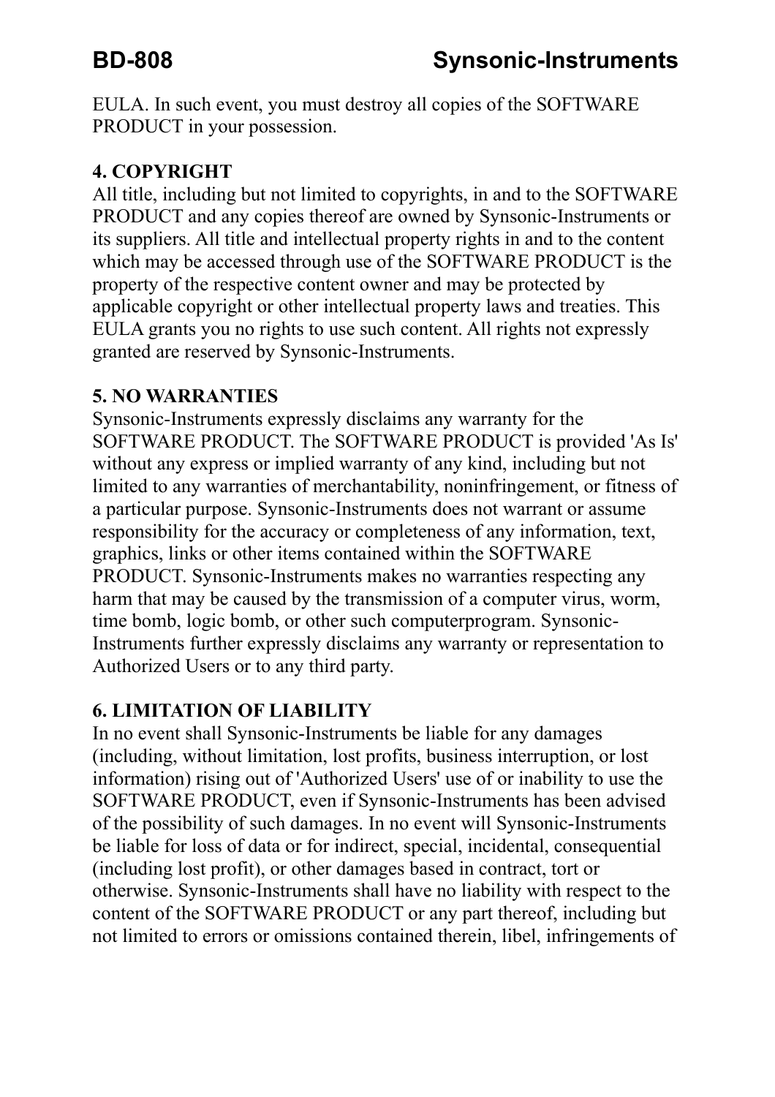EULA. In such event, you must destroy all copies of the SOFTWARE PRODUCT in your possession.

#### **4. COPYRIGHT**

All title, including but not limited to copyrights, in and to the SOFTWARE PRODUCT and any copies thereof are owned by Synsonic-Instruments or its suppliers. All title and intellectual property rights in and to the content which may be accessed through use of the SOFTWARE PRODUCT is the property of the respective content owner and may be protected by applicable copyright or other intellectual property laws and treaties. This EULA grants you no rights to use such content. All rights not expressly granted are reserved by Synsonic-Instruments.

#### **5. NO WARRANTIES**

Synsonic-Instruments expressly disclaims any warranty for the SOFTWARE PRODUCT. The SOFTWARE PRODUCT is provided 'As Is' without any express or implied warranty of any kind, including but not limited to any warranties of merchantability, noninfringement, or fitness of a particular purpose. Synsonic-Instruments does not warrant or assume responsibility for the accuracy or completeness of any information, text, graphics, links or other items contained within the SOFTWARE PRODUCT. Synsonic-Instruments makes no warranties respecting any harm that may be caused by the transmission of a computer virus, worm, time bomb, logic bomb, or other such computerprogram. Synsonic-Instruments further expressly disclaims any warranty or representation to Authorized Users or to any third party.

#### **6. LIMITATION OF LIABILITY**

In no event shall Synsonic-Instruments be liable for any damages (including, without limitation, lost profits, business interruption, or lost information) rising out of 'Authorized Users' use of or inability to use the SOFTWARE PRODUCT, even if Synsonic-Instruments has been advised of the possibility of such damages. In no event will Synsonic-Instruments be liable for loss of data or for indirect, special, incidental, consequential (including lost profit), or other damages based in contract, tort or otherwise. Synsonic-Instruments shall have no liability with respect to the content of the SOFTWARE PRODUCT or any part thereof, including but not limited to errors or omissions contained therein, libel, infringements of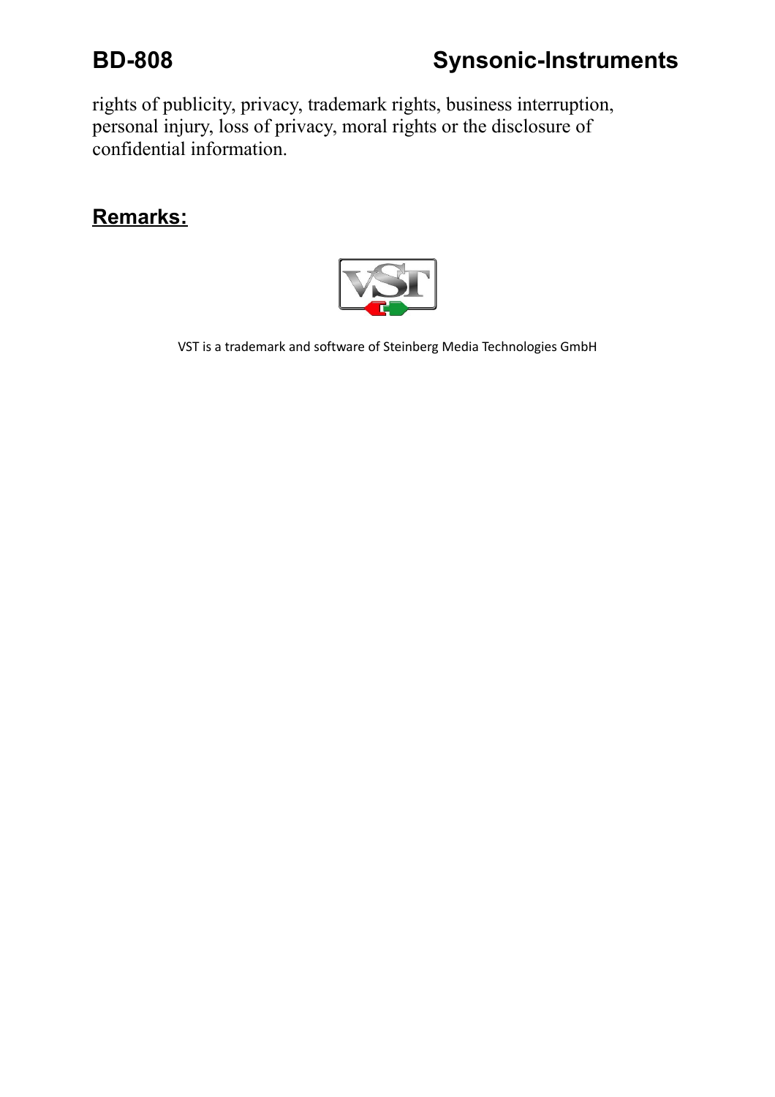# **BD-808 Synsonic-Instruments**

rights of publicity, privacy, trademark rights, business interruption, personal injury, loss of privacy, moral rights or the disclosure of confidential information.

### **Remarks:**



VST is a trademark and software of Steinberg Media Technologies GmbH